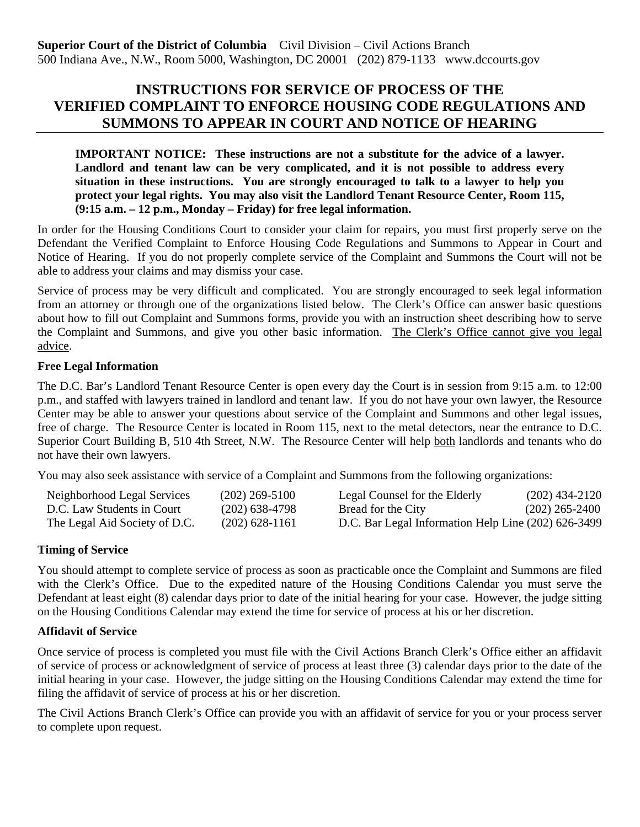# **INSTRUCTIONS FOR SERVICE OF PROCESS OF THE VERIFIED COMPLAINT TO ENFORCE HOUSING CODE REGULATIONS AND SUMMONS TO APPEAR IN COURT AND NOTICE OF HEARING**

**IMPORTANT NOTICE: These instructions are not a substitute for the advice of a lawyer. Landlord and tenant law can be very complicated, and it is not possible to address every situation in these instructions. You are strongly encouraged to talk to a lawyer to help you protect your legal rights. You may also visit the Landlord Tenant Resource Center, Room 115, (9:15 a.m. – 12 p.m., Monday – Friday) for free legal information.**

In order for the Housing Conditions Court to consider your claim for repairs, you must first properly serve on the Defendant the Verified Complaint to Enforce Housing Code Regulations and Summons to Appear in Court and Notice of Hearing. If you do not properly complete service of the Complaint and Summons the Court will not be able to address your claims and may dismiss your case.

Service of process may be very difficult and complicated. You are strongly encouraged to seek legal information from an attorney or through one of the organizations listed below. The Clerk's Office can answer basic questions about how to fill out Complaint and Summons forms, provide you with an instruction sheet describing how to serve the Complaint and Summons, and give you other basic information. The Clerk's Office cannot give you legal advice.

### **Free Legal Information**

The D.C. Bar's Landlord Tenant Resource Center is open every day the Court is in session from 9:15 a.m. to 12:00 p.m., and staffed with lawyers trained in landlord and tenant law. If you do not have your own lawyer, the Resource Center may be able to answer your questions about service of the Complaint and Summons and other legal issues, free of charge. The Resource Center is located in Room 115, next to the metal detectors, near the entrance to D.C. Superior Court Building B, 510 4th Street, N.W. The Resource Center will help both landlords and tenants who do not have their own lawyers.

You may also seek assistance with service of a Complaint and Summons from the following organizations:

| Neighborhood Legal Services   | $(202)$ 269-5100 | Legal Counsel for the Elderly                       | $(202)$ 434-2120 |
|-------------------------------|------------------|-----------------------------------------------------|------------------|
| D.C. Law Students in Court    | $(202)$ 638-4798 | Bread for the City                                  | $(202)$ 265-2400 |
| The Legal Aid Society of D.C. | $(202)$ 628-1161 | D.C. Bar Legal Information Help Line (202) 626-3499 |                  |

### **Timing of Service**

You should attempt to complete service of process as soon as practicable once the Complaint and Summons are filed with the Clerk's Office. Due to the expedited nature of the Housing Conditions Calendar you must serve the Defendant at least eight (8) calendar days prior to date of the initial hearing for your case. However, the judge sitting on the Housing Conditions Calendar may extend the time for service of process at his or her discretion.

## **Affidavit of Service**

Once service of process is completed you must file with the Civil Actions Branch Clerk's Office either an affidavit of service of process or acknowledgment of service of process at least three (3) calendar days prior to the date of the initial hearing in your case. However, the judge sitting on the Housing Conditions Calendar may extend the time for filing the affidavit of service of process at his or her discretion.

The Civil Actions Branch Clerk's Office can provide you with an affidavit of service for you or your process server to complete upon request.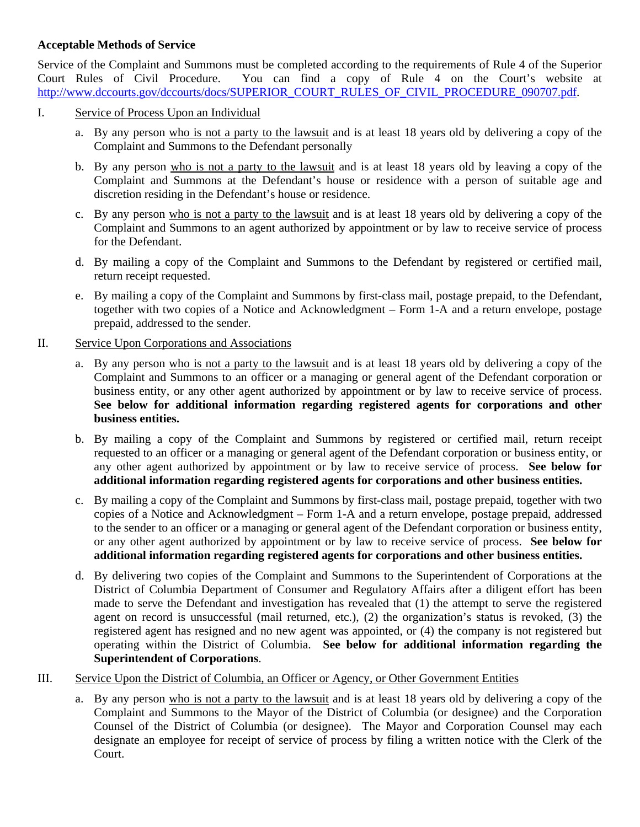### **Acceptable Methods of Service**

Service of the Complaint and Summons must be completed according to the requirements of Rule 4 of the Superior Court Rules of Civil Procedure. You can find a copy of Rule 4 on the Court's website at [http://www.dccourts.gov/dccourts/docs/SUPERIOR\\_COURT\\_RULES\\_OF\\_CIVIL\\_PROCEDURE\\_090707.pdf.](http://www.dccourts.gov/dccourts/docs/SUPERIOR_COURT_RULES_OF_CIVIL_PROCEDURE_090707.pdf)

### I. Service of Process Upon an Individual

- a. By any person who is not a party to the lawsuit and is at least 18 years old by delivering a copy of the Complaint and Summons to the Defendant personally
- b. By any person who is not a party to the lawsuit and is at least 18 years old by leaving a copy of the Complaint and Summons at the Defendant's house or residence with a person of suitable age and discretion residing in the Defendant's house or residence.
- c. By any person who is not a party to the lawsuit and is at least 18 years old by delivering a copy of the Complaint and Summons to an agent authorized by appointment or by law to receive service of process for the Defendant.
- d. By mailing a copy of the Complaint and Summons to the Defendant by registered or certified mail, return receipt requested.
- e. By mailing a copy of the Complaint and Summons by first-class mail, postage prepaid, to the Defendant, together with two copies of a Notice and Acknowledgment – Form 1-A and a return envelope, postage prepaid, addressed to the sender.
- II. Service Upon Corporations and Associations
	- a. By any person who is not a party to the lawsuit and is at least 18 years old by delivering a copy of the Complaint and Summons to an officer or a managing or general agent of the Defendant corporation or business entity, or any other agent authorized by appointment or by law to receive service of process. **See below for additional information regarding registered agents for corporations and other business entities.**
	- b. By mailing a copy of the Complaint and Summons by registered or certified mail, return receipt requested to an officer or a managing or general agent of the Defendant corporation or business entity, or any other agent authorized by appointment or by law to receive service of process. **See below for additional information regarding registered agents for corporations and other business entities.**
	- c. By mailing a copy of the Complaint and Summons by first-class mail, postage prepaid, together with two copies of a Notice and Acknowledgment – Form 1-A and a return envelope, postage prepaid, addressed to the sender to an officer or a managing or general agent of the Defendant corporation or business entity, or any other agent authorized by appointment or by law to receive service of process. **See below for additional information regarding registered agents for corporations and other business entities.**
	- d. By delivering two copies of the Complaint and Summons to the Superintendent of Corporations at the District of Columbia Department of Consumer and Regulatory Affairs after a diligent effort has been made to serve the Defendant and investigation has revealed that (1) the attempt to serve the registered agent on record is unsuccessful (mail returned, etc.), (2) the organization's status is revoked, (3) the registered agent has resigned and no new agent was appointed, or (4) the company is not registered but operating within the District of Columbia. **See below for additional information regarding the Superintendent of Corporations**.
- III. Service Upon the District of Columbia, an Officer or Agency, or Other Government Entities
	- a. By any person who is not a party to the lawsuit and is at least 18 years old by delivering a copy of the Complaint and Summons to the Mayor of the District of Columbia (or designee) and the Corporation Counsel of the District of Columbia (or designee). The Mayor and Corporation Counsel may each designate an employee for receipt of service of process by filing a written notice with the Clerk of the Court.